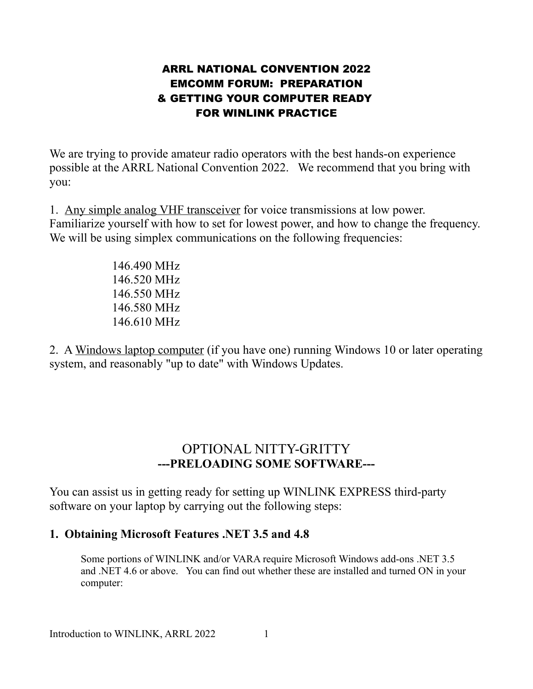#### ARRL NATIONAL CONVENTION 2022 EMCOMM FORUM: PREPARATION & GETTING YOUR COMPUTER READY FOR WINLINK PRACTICE

We are trying to provide amateur radio operators with the best hands-on experience possible at the ARRL National Convention 2022. We recommend that you bring with you:

1. Any simple analog VHF transceiver for voice transmissions at low power. Familiarize yourself with how to set for lowest power, and how to change the frequency. We will be using simplex communications on the following frequencies:

> 146.490 MHz 146.520 MHz 146.550 MHz 146.580 MHz 146.610 MHz

2. A Windows laptop computer (if you have one) running Windows 10 or later operating system, and reasonably "up to date" with Windows Updates.

# OPTIONAL NITTY-GRITTY **---PRELOADING SOME SOFTWARE---**

You can assist us in getting ready for setting up WINLINK EXPRESS third-party software on your laptop by carrying out the following steps:

### **1. Obtaining Microsoft Features .NET 3.5 and 4.8**

Some portions of WINLINK and/or VARA require Microsoft Windows add-ons .NET 3.5 and .NET 4.6 or above. You can find out whether these are installed and turned ON in your computer: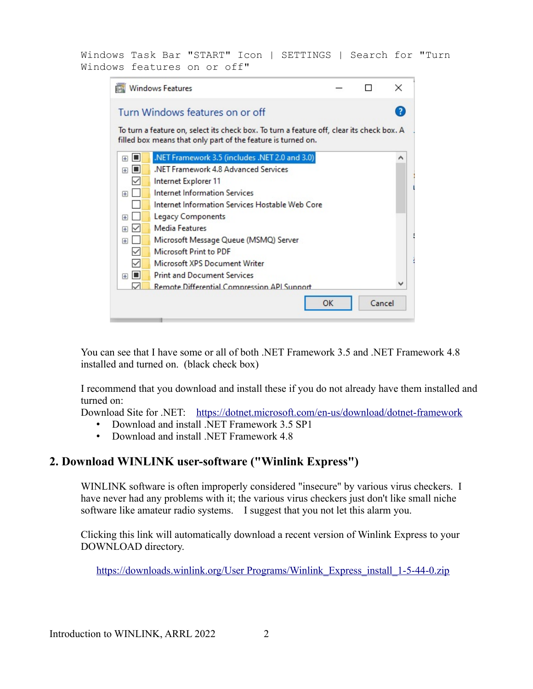Windows Task Bar "START" Icon | SETTINGS | Search for "Turn Windows features on or off"

| <b>Windows Features</b>                                                                                                                                   |                                                 |    |        | $\times$ |
|-----------------------------------------------------------------------------------------------------------------------------------------------------------|-------------------------------------------------|----|--------|----------|
|                                                                                                                                                           | Turn Windows features on or off                 |    |        |          |
| To turn a feature on, select its check box. To turn a feature off, clear its check box. A<br>filled box means that only part of the feature is turned on. |                                                 |    |        |          |
| IП<br>$\overline{+}$                                                                                                                                      | .NET Framework 3.5 (includes .NET 2.0 and 3.0)  |    |        | ́        |
| Ħ<br>$\overline{+}$                                                                                                                                       | .NET Framework 4.8 Advanced Services            |    |        |          |
|                                                                                                                                                           | Internet Explorer 11                            |    |        |          |
| $\overline{+}$                                                                                                                                            | Internet Information Services                   |    |        |          |
|                                                                                                                                                           | Internet Information Services Hostable Web Core |    |        |          |
| Œ                                                                                                                                                         | Legacy Components                               |    |        |          |
| Œ                                                                                                                                                         | Media Features                                  |    |        |          |
| $\overline{+}$                                                                                                                                            | Microsoft Message Queue (MSMQ) Server           |    |        |          |
| ✓                                                                                                                                                         | Microsoft Print to PDF                          |    |        |          |
|                                                                                                                                                           | Microsoft XPS Document Writer                   |    |        |          |
| Iш<br>$\left  + \right $                                                                                                                                  | <b>Print and Document Services</b>              |    |        |          |
|                                                                                                                                                           | Remote Differential Compression API Support     |    |        |          |
|                                                                                                                                                           |                                                 | ОК | Cancel |          |

You can see that I have some or all of both .NET Framework 3.5 and .NET Framework 4.8 installed and turned on. (black check box)

I recommend that you download and install these if you do not already have them installed and turned on:

Download Site for .NET: <https://dotnet.microsoft.com/en-us/download/dotnet-framework>

- Download and install .NET Framework 3.5 SP1
- Download and install .NET Framework 4.8

## **2. Download WINLINK user-software ("Winlink Express")**

WINLINK software is often improperly considered "insecure" by various virus checkers. I have never had any problems with it; the various virus checkers just don't like small niche software like amateur radio systems. I suggest that you not let this alarm you.

Clicking this link will automatically download a recent version of Winlink Express to your DOWNLOAD directory.

[https://downloads.winlink.org/User Programs/Winlink\\_Express\\_install\\_1-5-44-0.zip](https://downloads.winlink.org/User%20Programs/Winlink_Express_install_1-5-44-0.zip)